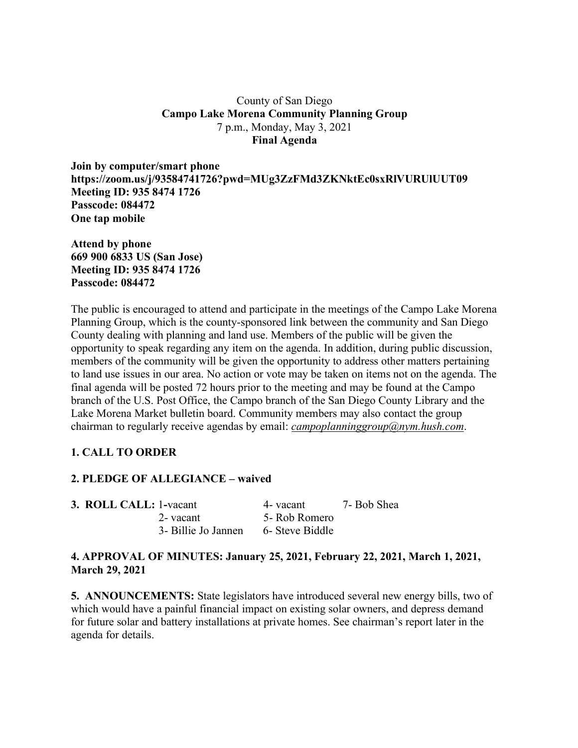## County of San Diego **Campo Lake Morena Community Planning Group** 7 p.m., Monday, May 3, 2021 **Final Agenda**

**Join by computer/smart phone https://zoom.us/j/93584741726?pwd=MUg3ZzFMd3ZKNktEc0sxRlVURUlUUT09 Meeting ID: 935 8474 1726 Passcode: 084472 One tap mobile**

**Attend by phone 669 900 6833 US (San Jose) Meeting ID: 935 8474 1726 Passcode: 084472**

The public is encouraged to attend and participate in the meetings of the Campo Lake Morena Planning Group, which is the county-sponsored link between the community and San Diego County dealing with planning and land use. Members of the public will be given the opportunity to speak regarding any item on the agenda. In addition, during public discussion, members of the community will be given the opportunity to address other matters pertaining to land use issues in our area. No action or vote may be taken on items not on the agenda. The final agenda will be posted 72 hours prior to the meeting and may be found at the Campo branch of the U.S. Post Office, the Campo branch of the San Diego County Library and the Lake Morena Market bulletin board. Community members may also contact the group chairman to regularly receive agendas by email: *campoplanninggroup@nym.hush.com*.

# **1. CALL TO ORDER**

# **2. PLEDGE OF ALLEGIANCE – waived**

| <b>3. ROLL CALL: 1-vacant</b> |                     | 4- vacant       | 7- Bob Shea |
|-------------------------------|---------------------|-----------------|-------------|
|                               | 2- vacant           | 5- Rob Romero   |             |
|                               | 3- Billie Jo Jannen | 6- Steve Biddle |             |

# **4. APPROVAL OF MINUTES: January 25, 2021, February 22, 2021, March 1, 2021, March 29, 2021**

**5. ANNOUNCEMENTS:** State legislators have introduced several new energy bills, two of which would have a painful financial impact on existing solar owners, and depress demand for future solar and battery installations at private homes. See chairman's report later in the agenda for details.